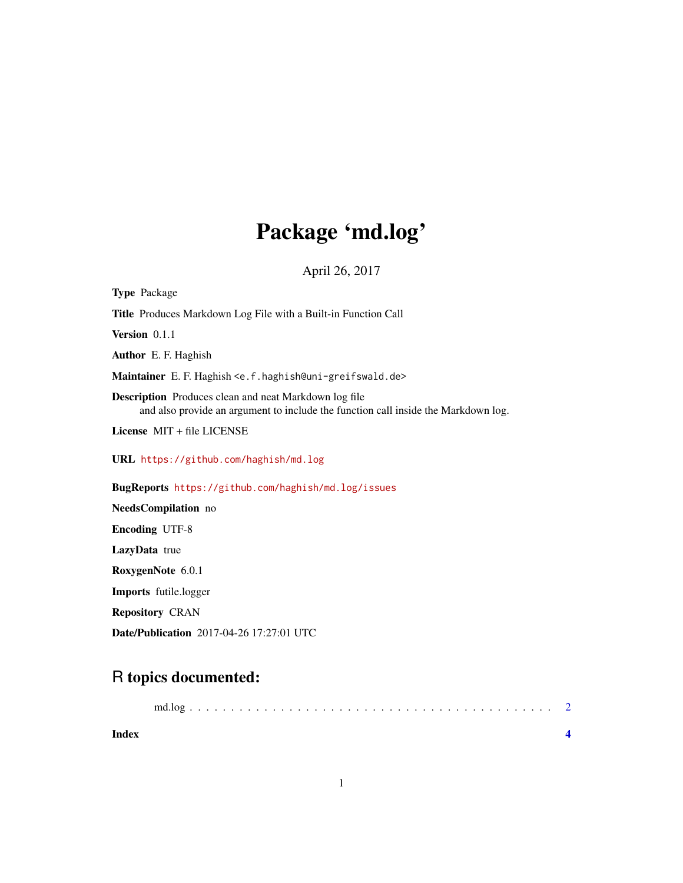## Package 'md.log'

April 26, 2017

| <b>Type Package</b>                                                                                                                                |
|----------------------------------------------------------------------------------------------------------------------------------------------------|
| Title Produces Markdown Log File with a Built-in Function Call                                                                                     |
| Version 0.1.1                                                                                                                                      |
| <b>Author</b> E. F. Haghish                                                                                                                        |
| Maintainer E. F. Haghish <e. f.="" haghish@uni-greifswald.de=""></e.>                                                                              |
| <b>Description</b> Produces clean and neat Markdown log file<br>and also provide an argument to include the function call inside the Markdown log. |
| License MIT + file LICENSE                                                                                                                         |
| URL https://github.com/haghish/md.log                                                                                                              |
| BugReports https://github.com/haghish/md.log/issues                                                                                                |
| NeedsCompilation no                                                                                                                                |
| <b>Encoding UTF-8</b>                                                                                                                              |
| LazyData true                                                                                                                                      |
| RoxygenNote 6.0.1                                                                                                                                  |
| <b>Imports</b> futile.logger                                                                                                                       |
| <b>Repository CRAN</b>                                                                                                                             |
| Date/Publication 2017-04-26 17:27:01 UTC                                                                                                           |

### R topics documented:

| Index |  |  |  |  |  |  |  |  |  |  |  |  |  |
|-------|--|--|--|--|--|--|--|--|--|--|--|--|--|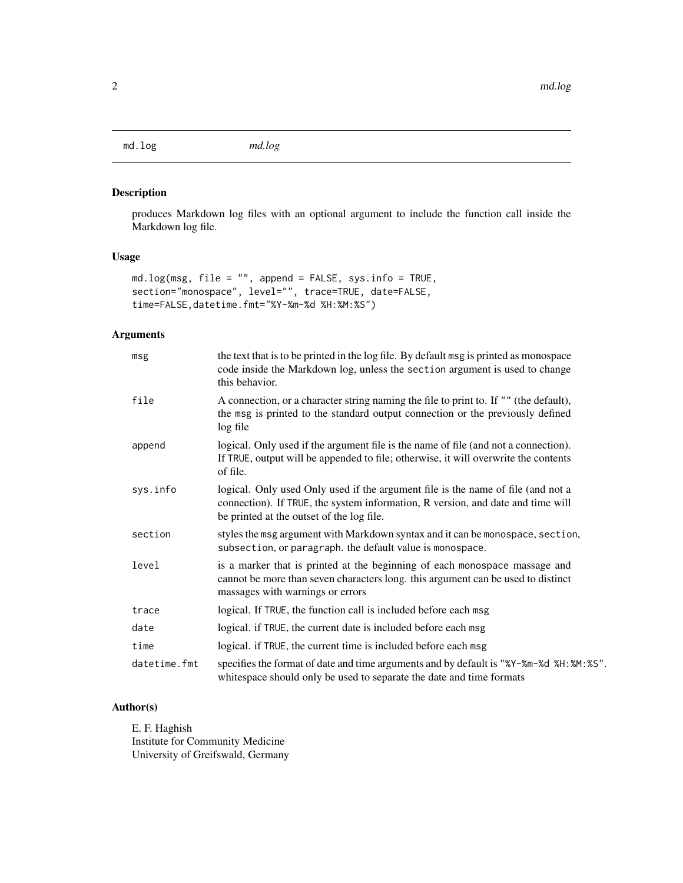<span id="page-1-0"></span>md.log *md.log*

#### Description

produces Markdown log files with an optional argument to include the function call inside the Markdown log file.

#### Usage

```
md.log(msg, file = "", append = FALSE, sys.info = TRUE,
section="monospace", level="", trace=TRUE, date=FALSE,
time=FALSE,datetime.fmt="%Y-%m-%d %H:%M:%S")
```
#### Arguments

| msg          | the text that is to be printed in the log file. By default msg is printed as monospace<br>code inside the Markdown log, unless the section argument is used to change<br>this behavior.                          |
|--------------|------------------------------------------------------------------------------------------------------------------------------------------------------------------------------------------------------------------|
| file         | A connection, or a character string naming the file to print to. If "" (the default),<br>the msg is printed to the standard output connection or the previously defined<br>log file                              |
| append       | logical. Only used if the argument file is the name of file (and not a connection).<br>If TRUE, output will be appended to file; otherwise, it will overwrite the contents<br>of file.                           |
| sys.info     | logical. Only used Only used if the argument file is the name of file (and not a<br>connection). If TRUE, the system information, R version, and date and time will<br>be printed at the outset of the log file. |
| section      | styles the msg argument with Markdown syntax and it can be monospace, section,<br>subsection, or paragraph. the default value is monospace.                                                                      |
| level        | is a marker that is printed at the beginning of each monospace massage and<br>cannot be more than seven characters long. this argument can be used to distinct<br>massages with warnings or errors               |
| trace        | logical. If TRUE, the function call is included before each msg                                                                                                                                                  |
| date         | logical. if TRUE, the current date is included before each msg                                                                                                                                                   |
| time         | logical. if TRUE, the current time is included before each msg                                                                                                                                                   |
| datetime.fmt | specifies the format of date and time arguments and by default is "%Y-%m-%d %H: %M: %S".<br>whitespace should only be used to separate the date and time formats                                                 |

#### Author(s)

E. F. Haghish Institute for Community Medicine University of Greifswald, Germany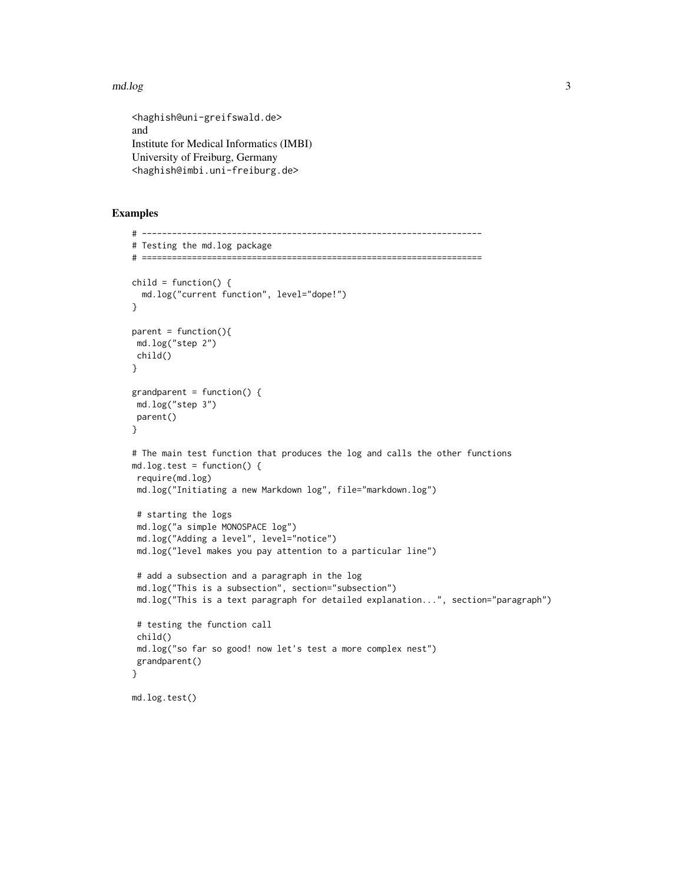#### $\Box$  and  $\Box$  3

<haghish@uni-greifswald.de> and Institute for Medical Informatics (IMBI) University of Freiburg, Germany <haghish@imbi.uni-freiburg.de>

#### Examples

```
# --------------------------------------------------------------------
# Testing the md.log package
# ====================================================================
child = function() {
 md.log("current function", level="dope!")
}
parent = function(){
md.log("step 2")
child()
}
grandparent = function() {
md.log("step 3")
parent()
}
# The main test function that produces the log and calls the other functions
md.log.test = function() {
require(md.log)
 md.log("Initiating a new Markdown log", file="markdown.log")
 # starting the logs
 md.log("a simple MONOSPACE log")
 md.log("Adding a level", level="notice")
 md.log("level makes you pay attention to a particular line")
 # add a subsection and a paragraph in the log
 md.log("This is a subsection", section="subsection")
 md.log("This is a text paragraph for detailed explanation...", section="paragraph")
 # testing the function call
 child()
 md.log("so far so good! now let's test a more complex nest")
 grandparent()
}
md.log.test()
```